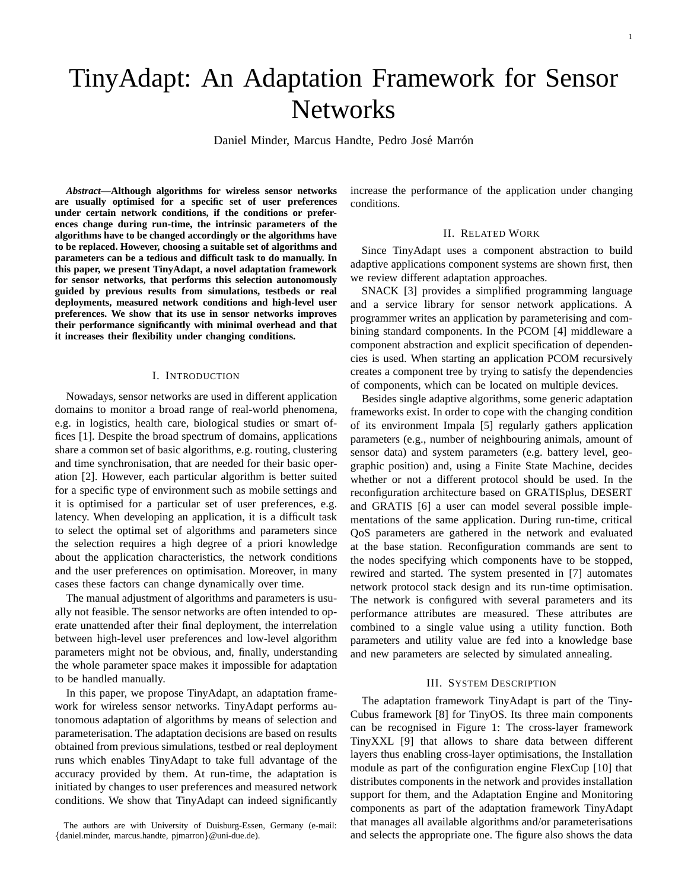# TinyAdapt: An Adaptation Framework for Sensor **Networks**

Daniel Minder, Marcus Handte, Pedro José Marrón

*Abstract***—Although algorithms for wireless sensor networks are usually optimised for a specific set of user preferences under certain network conditions, if the conditions or preferences change during run-time, the intrinsic parameters of the algorithms have to be changed accordingly or the algorithms have to be replaced. However, choosing a suitable set of algorithms and parameters can be a tedious and difficult task to do manually. In this paper, we present TinyAdapt, a novel adaptation framework for sensor networks, that performs this selection autonomously guided by previous results from simulations, testbeds or real deployments, measured network conditions and high-level user preferences. We show that its use in sensor networks improves their performance significantly with minimal overhead and that it increases their flexibility under changing conditions.**

# I. INTRODUCTION

Nowadays, sensor networks are used in different application domains to monitor a broad range of real-world phenomena, e.g. in logistics, health care, biological studies or smart offices [1]. Despite the broad spectrum of domains, applications share a common set of basic algorithms, e.g. routing, clustering and time synchronisation, that are needed for their basic operation [2]. However, each particular algorithm is better suited for a specific type of environment such as mobile settings and it is optimised for a particular set of user preferences, e.g. latency. When developing an application, it is a difficult task to select the optimal set of algorithms and parameters since the selection requires a high degree of a priori knowledge about the application characteristics, the network conditions and the user preferences on optimisation. Moreover, in many cases these factors can change dynamically over time.

The manual adjustment of algorithms and parameters is usually not feasible. The sensor networks are often intended to operate unattended after their final deployment, the interrelation between high-level user preferences and low-level algorithm parameters might not be obvious, and, finally, understanding the whole parameter space makes it impossible for adaptation to be handled manually.

In this paper, we propose TinyAdapt, an adaptation framework for wireless sensor networks. TinyAdapt performs autonomous adaptation of algorithms by means of selection and parameterisation. The adaptation decisions are based on results obtained from previous simulations, testbed or real deployment runs which enables TinyAdapt to take full advantage of the accuracy provided by them. At run-time, the adaptation is initiated by changes to user preferences and measured network conditions. We show that TinyAdapt can indeed significantly increase the performance of the application under changing conditions.

## II. RELATED WORK

Since TinyAdapt uses a component abstraction to build adaptive applications component systems are shown first, then we review different adaptation approaches.

SNACK [3] provides a simplified programming language and a service library for sensor network applications. A programmer writes an application by parameterising and combining standard components. In the PCOM [4] middleware a component abstraction and explicit specification of dependencies is used. When starting an application PCOM recursively creates a component tree by trying to satisfy the dependencies of components, which can be located on multiple devices.

Besides single adaptive algorithms, some generic adaptation frameworks exist. In order to cope with the changing condition of its environment Impala [5] regularly gathers application parameters (e.g., number of neighbouring animals, amount of sensor data) and system parameters (e.g. battery level, geographic position) and, using a Finite State Machine, decides whether or not a different protocol should be used. In the reconfiguration architecture based on GRATISplus, DESERT and GRATIS [6] a user can model several possible implementations of the same application. During run-time, critical QoS parameters are gathered in the network and evaluated at the base station. Reconfiguration commands are sent to the nodes specifying which components have to be stopped, rewired and started. The system presented in [7] automates network protocol stack design and its run-time optimisation. The network is configured with several parameters and its performance attributes are measured. These attributes are combined to a single value using a utility function. Both parameters and utility value are fed into a knowledge base and new parameters are selected by simulated annealing.

#### III. SYSTEM DESCRIPTION

The adaptation framework TinyAdapt is part of the Tiny-Cubus framework [8] for TinyOS. Its three main components can be recognised in Figure 1: The cross-layer framework TinyXXL [9] that allows to share data between different layers thus enabling cross-layer optimisations, the Installation module as part of the configuration engine FlexCup [10] that distributes components in the network and provides installation support for them, and the Adaptation Engine and Monitoring components as part of the adaptation framework TinyAdapt that manages all available algorithms and/or parameterisations and selects the appropriate one. The figure also shows the data

The authors are with University of Duisburg-Essen, Germany (e-mail: {daniel.minder, marcus.handte, pjmarron}@uni-due.de).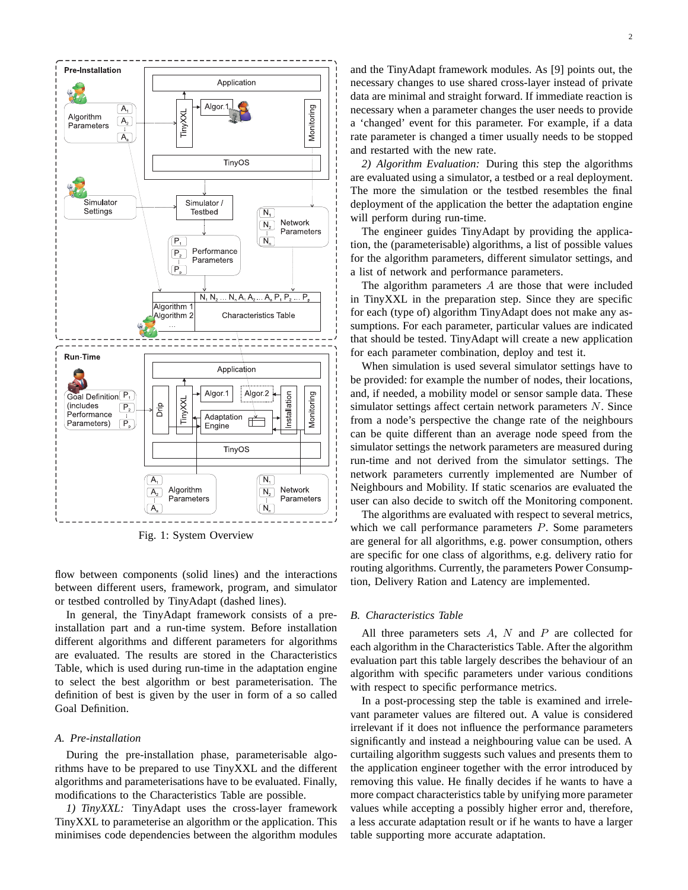

Fig. 1: System Overview

flow between components (solid lines) and the interactions between different users, framework, program, and simulator or testbed controlled by TinyAdapt (dashed lines).

In general, the TinyAdapt framework consists of a preinstallation part and a run-time system. Before installation different algorithms and different parameters for algorithms are evaluated. The results are stored in the Characteristics Table, which is used during run-time in the adaptation engine to select the best algorithm or best parameterisation. The definition of best is given by the user in form of a so called Goal Definition.

#### *A. Pre-installation*

During the pre-installation phase, parameterisable algorithms have to be prepared to use TinyXXL and the different algorithms and parameterisations have to be evaluated. Finally, modifications to the Characteristics Table are possible.

*1) TinyXXL:* TinyAdapt uses the cross-layer framework TinyXXL to parameterise an algorithm or the application. This minimises code dependencies between the algorithm modules

and the TinyAdapt framework modules. As [9] points out, the necessary changes to use shared cross-layer instead of private data are minimal and straight forward. If immediate reaction is necessary when a parameter changes the user needs to provide a 'changed' event for this parameter. For example, if a data rate parameter is changed a timer usually needs to be stopped and restarted with the new rate.

*2) Algorithm Evaluation:* During this step the algorithms are evaluated using a simulator, a testbed or a real deployment. The more the simulation or the testbed resembles the final deployment of the application the better the adaptation engine will perform during run-time.

The engineer guides TinyAdapt by providing the application, the (parameterisable) algorithms, a list of possible values for the algorithm parameters, different simulator settings, and a list of network and performance parameters.

The algorithm parameters A are those that were included in TinyXXL in the preparation step. Since they are specific for each (type of) algorithm TinyAdapt does not make any assumptions. For each parameter, particular values are indicated that should be tested. TinyAdapt will create a new application for each parameter combination, deploy and test it.

When simulation is used several simulator settings have to be provided: for example the number of nodes, their locations, and, if needed, a mobility model or sensor sample data. These simulator settings affect certain network parameters N. Since from a node's perspective the change rate of the neighbours can be quite different than an average node speed from the simulator settings the network parameters are measured during run-time and not derived from the simulator settings. The network parameters currently implemented are Number of Neighbours and Mobility. If static scenarios are evaluated the user can also decide to switch off the Monitoring component.

The algorithms are evaluated with respect to several metrics, which we call performance parameters  $P$ . Some parameters are general for all algorithms, e.g. power consumption, others are specific for one class of algorithms, e.g. delivery ratio for routing algorithms. Currently, the parameters Power Consumption, Delivery Ration and Latency are implemented.

#### *B. Characteristics Table*

All three parameters sets  $A$ ,  $N$  and  $P$  are collected for each algorithm in the Characteristics Table. After the algorithm evaluation part this table largely describes the behaviour of an algorithm with specific parameters under various conditions with respect to specific performance metrics.

In a post-processing step the table is examined and irrelevant parameter values are filtered out. A value is considered irrelevant if it does not influence the performance parameters significantly and instead a neighbouring value can be used. A curtailing algorithm suggests such values and presents them to the application engineer together with the error introduced by removing this value. He finally decides if he wants to have a more compact characteristics table by unifying more parameter values while accepting a possibly higher error and, therefore, a less accurate adaptation result or if he wants to have a larger table supporting more accurate adaptation.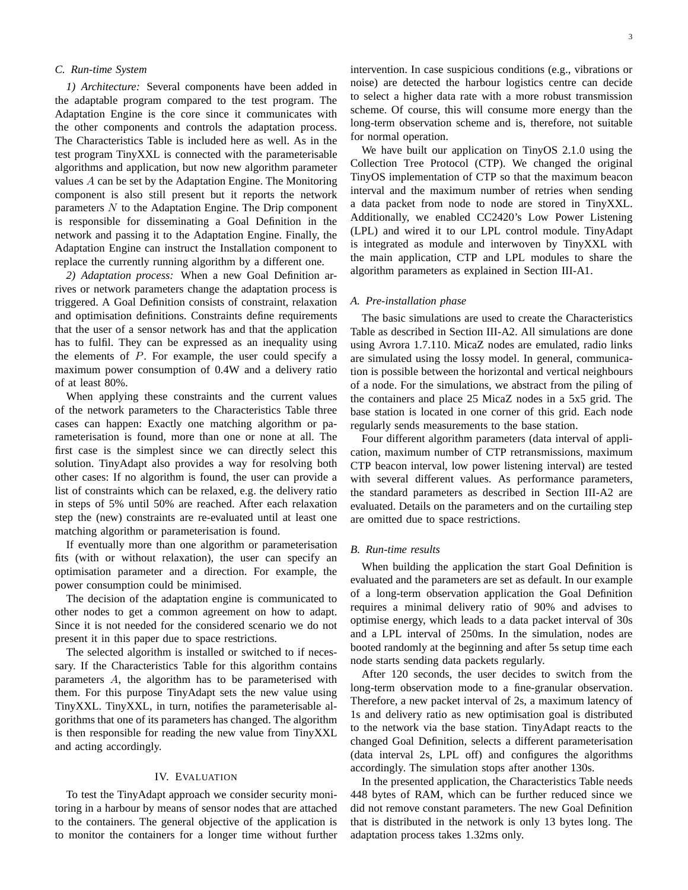# *C. Run-time System*

*1) Architecture:* Several components have been added in the adaptable program compared to the test program. The Adaptation Engine is the core since it communicates with the other components and controls the adaptation process. The Characteristics Table is included here as well. As in the test program TinyXXL is connected with the parameterisable algorithms and application, but now new algorithm parameter values A can be set by the Adaptation Engine. The Monitoring component is also still present but it reports the network parameters  $N$  to the Adaptation Engine. The Drip component is responsible for disseminating a Goal Definition in the network and passing it to the Adaptation Engine. Finally, the Adaptation Engine can instruct the Installation component to replace the currently running algorithm by a different one.

*2) Adaptation process:* When a new Goal Definition arrives or network parameters change the adaptation process is triggered. A Goal Definition consists of constraint, relaxation and optimisation definitions. Constraints define requirements that the user of a sensor network has and that the application has to fulfil. They can be expressed as an inequality using the elements of  $P$ . For example, the user could specify a maximum power consumption of 0.4W and a delivery ratio of at least 80%.

When applying these constraints and the current values of the network parameters to the Characteristics Table three cases can happen: Exactly one matching algorithm or parameterisation is found, more than one or none at all. The first case is the simplest since we can directly select this solution. TinyAdapt also provides a way for resolving both other cases: If no algorithm is found, the user can provide a list of constraints which can be relaxed, e.g. the delivery ratio in steps of 5% until 50% are reached. After each relaxation step the (new) constraints are re-evaluated until at least one matching algorithm or parameterisation is found.

If eventually more than one algorithm or parameterisation fits (with or without relaxation), the user can specify an optimisation parameter and a direction. For example, the power consumption could be minimised.

The decision of the adaptation engine is communicated to other nodes to get a common agreement on how to adapt. Since it is not needed for the considered scenario we do not present it in this paper due to space restrictions.

The selected algorithm is installed or switched to if necessary. If the Characteristics Table for this algorithm contains parameters A, the algorithm has to be parameterised with them. For this purpose TinyAdapt sets the new value using TinyXXL. TinyXXL, in turn, notifies the parameterisable algorithms that one of its parameters has changed. The algorithm is then responsible for reading the new value from TinyXXL and acting accordingly.

## IV. EVALUATION

To test the TinyAdapt approach we consider security monitoring in a harbour by means of sensor nodes that are attached to the containers. The general objective of the application is to monitor the containers for a longer time without further intervention. In case suspicious conditions (e.g., vibrations or noise) are detected the harbour logistics centre can decide to select a higher data rate with a more robust transmission scheme. Of course, this will consume more energy than the long-term observation scheme and is, therefore, not suitable for normal operation.

We have built our application on TinyOS 2.1.0 using the Collection Tree Protocol (CTP). We changed the original TinyOS implementation of CTP so that the maximum beacon interval and the maximum number of retries when sending a data packet from node to node are stored in TinyXXL. Additionally, we enabled CC2420's Low Power Listening (LPL) and wired it to our LPL control module. TinyAdapt is integrated as module and interwoven by TinyXXL with the main application, CTP and LPL modules to share the algorithm parameters as explained in Section III-A1.

#### *A. Pre-installation phase*

The basic simulations are used to create the Characteristics Table as described in Section III-A2. All simulations are done using Avrora 1.7.110. MicaZ nodes are emulated, radio links are simulated using the lossy model. In general, communication is possible between the horizontal and vertical neighbours of a node. For the simulations, we abstract from the piling of the containers and place 25 MicaZ nodes in a 5x5 grid. The base station is located in one corner of this grid. Each node regularly sends measurements to the base station.

Four different algorithm parameters (data interval of application, maximum number of CTP retransmissions, maximum CTP beacon interval, low power listening interval) are tested with several different values. As performance parameters, the standard parameters as described in Section III-A2 are evaluated. Details on the parameters and on the curtailing step are omitted due to space restrictions.

# *B. Run-time results*

When building the application the start Goal Definition is evaluated and the parameters are set as default. In our example of a long-term observation application the Goal Definition requires a minimal delivery ratio of 90% and advises to optimise energy, which leads to a data packet interval of 30s and a LPL interval of 250ms. In the simulation, nodes are booted randomly at the beginning and after 5s setup time each node starts sending data packets regularly.

After 120 seconds, the user decides to switch from the long-term observation mode to a fine-granular observation. Therefore, a new packet interval of 2s, a maximum latency of 1s and delivery ratio as new optimisation goal is distributed to the network via the base station. TinyAdapt reacts to the changed Goal Definition, selects a different parameterisation (data interval 2s, LPL off) and configures the algorithms accordingly. The simulation stops after another 130s.

In the presented application, the Characteristics Table needs 448 bytes of RAM, which can be further reduced since we did not remove constant parameters. The new Goal Definition that is distributed in the network is only 13 bytes long. The adaptation process takes 1.32ms only.